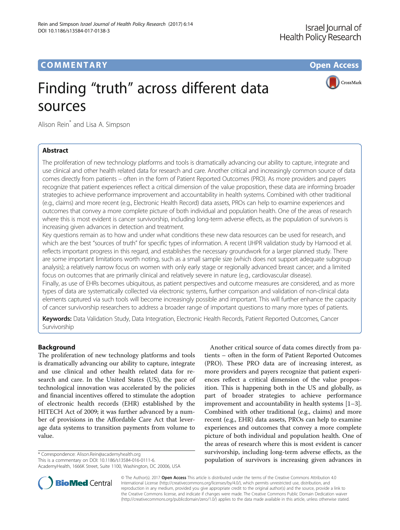CrossMark

# COMM EN TARY Open Access

# Finding "truth" across different data sources

Alison Rein\* and Lisa A. Simpson

# Abstract

The proliferation of new technology platforms and tools is dramatically advancing our ability to capture, integrate and use clinical and other health related data for research and care. Another critical and increasingly common source of data comes directly from patients – often in the form of Patient Reported Outcomes (PRO). As more providers and payers recognize that patient experiences reflect a critical dimension of the value proposition, these data are informing broader strategies to achieve performance improvement and accountability in health systems. Combined with other traditional (e.g., claims) and more recent (e.g., Electronic Health Record) data assets, PROs can help to examine experiences and outcomes that convey a more complete picture of both individual and population health. One of the areas of research where this is most evident is cancer survivorship, including long-term adverse effects, as the population of survivors is increasing given advances in detection and treatment.

Key questions remain as to how and under what conditions these new data resources can be used for research, and which are the best "sources of truth" for specific types of information. A recent IJHPR validation study by Hamood et al. reflects important progress in this regard, and establishes the necessary groundwork for a larger planned study. There are some important limitations worth noting, such as a small sample size (which does not support adequate subgroup analysis); a relatively narrow focus on women with only early stage or regionally advanced breast cancer; and a limited focus on outcomes that are primarily clinical and relatively severe in nature (e.g., cardiovascular disease).

Finally, as use of EHRs becomes ubiquitous, as patient perspectives and outcome measures are considered, and as more types of data are systematically collected via electronic systems, further comparison and validation of non-clinical data elements captured via such tools will become increasingly possible and important. This will further enhance the capacity of cancer survivorship researchers to address a broader range of important questions to many more types of patients.

Keywords: Data Validation Study, Data Integration, Electronic Health Records, Patient Reported Outcomes, Cancer Survivorship

# Background

The proliferation of new technology platforms and tools is dramatically advancing our ability to capture, integrate and use clinical and other health related data for research and care. In the United States (US), the pace of technological innovation was accelerated by the policies and financial incentives offered to stimulate the adoption of electronic health records (EHR) established by the HITECH Act of 2009; it was further advanced by a number of provisions in the Affordable Care Act that leverage data systems to transition payments from volume to value.

\* Correspondence: [Alison.Rein@academyhealth.org](mailto:Alison.Rein@academyhealth.org)

AcademyHealth, 1666K Street, Suite 1100, Washington, DC 20006, USA

Another critical source of data comes directly from patients – often in the form of Patient Reported Outcomes (PRO). These PRO data are of increasing interest, as more providers and payers recognize that patient experiences reflect a critical dimension of the value proposition. This is happening both in the US and globally, as part of broader strategies to achieve performance improvement and accountability in health systems [\[1](#page-2-0)–[3](#page-2-0)]. Combined with other traditional (e.g., claims) and more recent (e.g., EHR) data assets, PROs can help to examine experiences and outcomes that convey a more complete picture of both individual and population health. One of the areas of research where this is most evident is cancer survivorship, including long-term adverse effects, as the population of survivors is increasing given advances in



© The Author(s). 2017 Open Access This article is distributed under the terms of the Creative Commons Attribution 4.0 International License [\(http://creativecommons.org/licenses/by/4.0/](http://creativecommons.org/licenses/by/4.0/)), which permits unrestricted use, distribution, and reproduction in any medium, provided you give appropriate credit to the original author(s) and the source, provide a link to the Creative Commons license, and indicate if changes were made. The Creative Commons Public Domain Dedication waiver [\(http://creativecommons.org/publicdomain/zero/1.0/](http://creativecommons.org/publicdomain/zero/1.0/)) applies to the data made available in this article, unless otherwise stated.

This is a commentary on DOI: 10.1186/s13584-016-0111-6.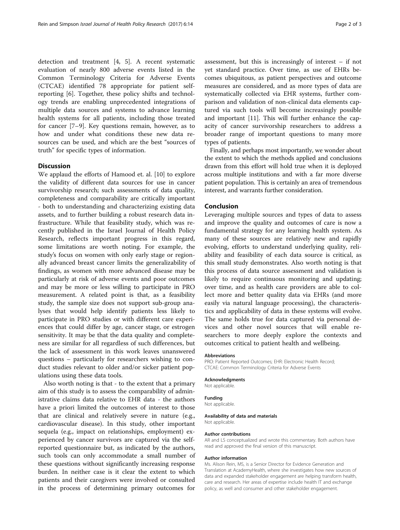detection and treatment [\[4](#page-2-0), [5\]](#page-2-0). A recent systematic evaluation of nearly 800 adverse events listed in the Common Terminology Criteria for Adverse Events (CTCAE) identified 78 appropriate for patient selfreporting [[6\]](#page-2-0). Together, these policy shifts and technology trends are enabling unprecedented integrations of multiple data sources and systems to advance learning health systems for all patients, including those treated for cancer [[7](#page-2-0)–[9](#page-2-0)]. Key questions remain, however, as to how and under what conditions these new data resources can be used, and which are the best "sources of truth" for specific types of information.

# **Discussion**

We applaud the efforts of Hamood et. al. [[10\]](#page-2-0) to explore the validity of different data sources for use in cancer survivorship research; such assessments of data quality, completeness and comparability are critically important - both to understanding and characterizing existing data assets, and to further building a robust research data infrastructure. While that feasibility study, which was recently published in the Israel Journal of Health Policy Research, reflects important progress in this regard, some limitations are worth noting. For example, the study's focus on women with only early stage or regionally advanced breast cancer limits the generalizability of findings, as women with more advanced disease may be particularly at risk of adverse events and poor outcomes and may be more or less willing to participate in PRO measurement. A related point is that, as a feasibility study, the sample size does not support sub-group analyses that would help identify patients less likely to participate in PRO studies or with different care experiences that could differ by age, cancer stage, or estrogen sensitivity. It may be that the data quality and completeness are similar for all regardless of such differences, but the lack of assessment in this work leaves unanswered questions – particularly for researchers wishing to conduct studies relevant to older and/or sicker patient populations using these data tools.

Also worth noting is that - to the extent that a primary aim of this study is to assess the comparability of administrative claims data relative to EHR data - the authors have a priori limited the outcomes of interest to those that are clinical and relatively severe in nature (e.g., cardiovascular disease). In this study, other important sequela (e.g., impact on relationships, employment) experienced by cancer survivors are captured via the selfreported questionnaire but, as indicated by the authors, such tools can only accommodate a small number of these questions without significantly increasing response burden. In neither case is it clear the extent to which patients and their caregivers were involved or consulted in the process of determining primary outcomes for

assessment, but this is increasingly of interest – if not yet standard practice. Over time, as use of EHRs becomes ubiquitous, as patient perspectives and outcome measures are considered, and as more types of data are systematically collected via EHR systems, further comparison and validation of non-clinical data elements captured via such tools will become increasingly possible and important [\[11](#page-2-0)]. This will further enhance the capacity of cancer survivorship researchers to address a broader range of important questions to many more types of patients.

Finally, and perhaps most importantly, we wonder about the extent to which the methods applied and conclusions drawn from this effort will hold true when it is deployed across multiple institutions and with a far more diverse patient population. This is certainly an area of tremendous interest, and warrants further consideration.

# Conclusion

Leveraging multiple sources and types of data to assess and improve the quality and outcomes of care is now a fundamental strategy for any learning health system. As many of these sources are relatively new and rapidly evolving, efforts to understand underlying quality, reliability and feasibility of each data source is critical, as this small study demonstrates. Also worth noting is that this process of data source assessment and validation is likely to require continuous monitoring and updating; over time, and as health care providers are able to collect more and better quality data via EHRs (and more easily via natural language processing), the characteristics and applicability of data in these systems will evolve. The same holds true for data captured via personal devices and other novel sources that will enable researchers to more deeply explore the contexts and outcomes critical to patient health and wellbeing.

## Abbreviations

PRO: Patient Reported Outcomes; EHR: Electronic Health Record; CTCAE: Common Terminology Criteria for Adverse Events

## Acknowledgments

Not applicable.

# Funding

Not applicable.

## Availability of data and materials

Not applicable.

## Author contributions

AR and LS conceptualized and wrote this commentary. Both authors have read and approved the final version of this manuscript.

#### Author information

Ms. Alison Rein, MS, is a Senior Director for Evidence Generation and Translation at AcademyHealth, where she investigates how new sources of data and expanded stakeholder engagement are helping transform health, care and research. Her areas of expertise include health IT and exchange policy, as well and consumer and other stakeholder engagement.